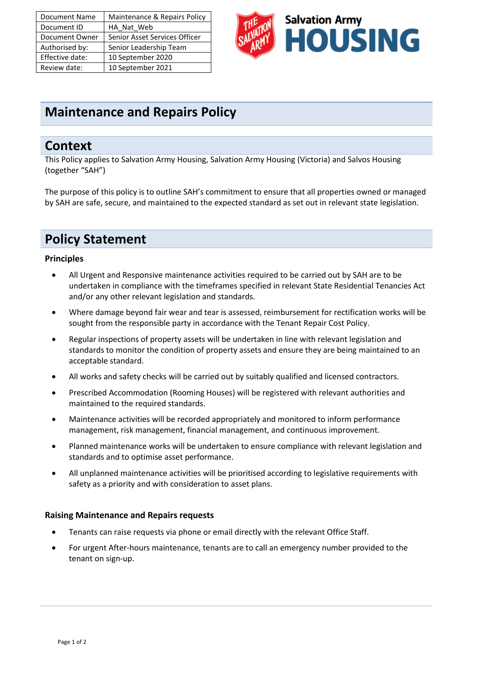| Document Name   | Maintenance & Repairs Policy  |
|-----------------|-------------------------------|
| Document ID     | HA Nat Web                    |
| Document Owner  | Senior Asset Services Officer |
| Authorised by:  | Senior Leadership Team        |
| Effective date: | 10 September 2020             |
| Review date:    | 10 September 2021             |



## **Maintenance and Repairs Policy**

### **Context**

This Policy applies to Salvation Army Housing, Salvation Army Housing (Victoria) and Salvos Housing (together "SAH")

The purpose of this policy is to outline SAH's commitment to ensure that all properties owned or managed by SAH are safe, secure, and maintained to the expected standard as set out in relevant state legislation.

## **Policy Statement**

#### **Principles**

- All Urgent and Responsive maintenance activities required to be carried out by SAH are to be undertaken in compliance with the timeframes specified in relevant State Residential Tenancies Act and/or any other relevant legislation and standards.
- Where damage beyond fair wear and tear is assessed, reimbursement for rectification works will be sought from the responsible party in accordance with the Tenant Repair Cost Policy.
- Regular inspections of property assets will be undertaken in line with relevant legislation and standards to monitor the condition of property assets and ensure they are being maintained to an acceptable standard.
- All works and safety checks will be carried out by suitably qualified and licensed contractors.
- Prescribed Accommodation (Rooming Houses) will be registered with relevant authorities and maintained to the required standards.
- Maintenance activities will be recorded appropriately and monitored to inform performance management, risk management, financial management, and continuous improvement.
- Planned maintenance works will be undertaken to ensure compliance with relevant legislation and standards and to optimise asset performance.
- All unplanned maintenance activities will be prioritised according to legislative requirements with safety as a priority and with consideration to asset plans.

#### **Raising Maintenance and Repairs requests**

- Tenants can raise requests via phone or email directly with the relevant Office Staff.
- For urgent After-hours maintenance, tenants are to call an emergency number provided to the tenant on sign-up.